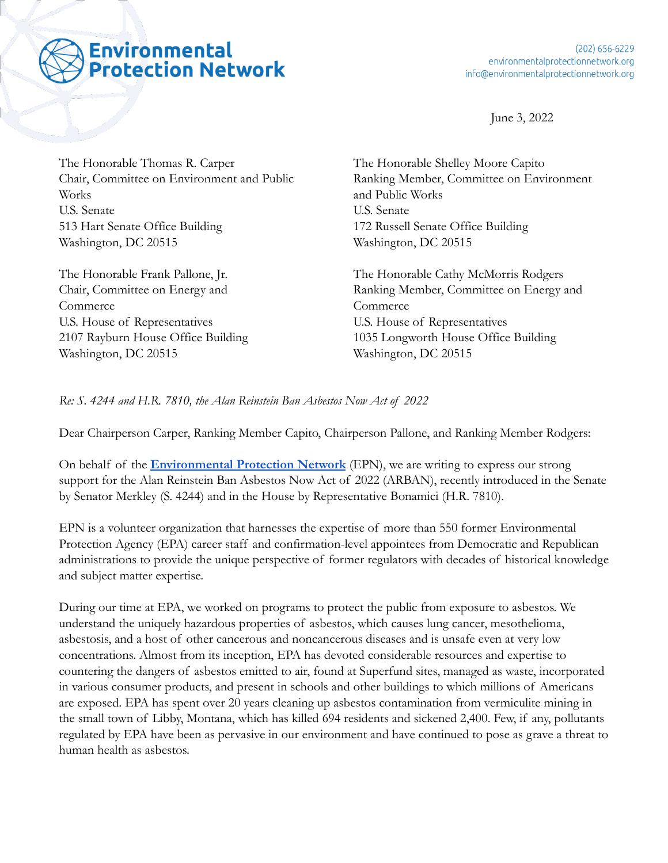## **Environmental Protection Network**

June 3, 2022

The Honorable Thomas R. Carper Chair, Committee on Environment and Public Works U.S. Senate 513 Hart Senate Office Building Washington, DC 20515

The Honorable Frank Pallone, Jr. Chair, Committee on Energy and Commerce U.S. House of Representatives 2107 Rayburn House Office Building Washington, DC 20515

The Honorable Shelley Moore Capito Ranking Member, Committee on Environment and Public Works U.S. Senate 172 Russell Senate Office Building Washington, DC 20515

The Honorable Cathy McMorris Rodgers Ranking Member, Committee on Energy and Commerce U.S. House of Representatives 1035 Longworth House Office Building Washington, DC 20515

## *Re: S. 4244 and H.R. 7810, the Alan Reinstein Ban Asbestos Now Act of 2022*

Dear Chairperson Carper, Ranking Member Capito, Chairperson Pallone, and Ranking Member Rodgers:

On behalf of the **[Environmental Protection Network](https://www.environmentalprotectionnetwork.org/)** (EPN), we are writing to express our strong support for the Alan Reinstein Ban Asbestos Now Act of 2022 (ARBAN), recently introduced in the Senate by Senator Merkley (S. 4244) and in the House by Representative Bonamici (H.R. 7810).

EPN is a volunteer organization that harnesses the expertise of more than 550 former Environmental Protection Agency (EPA) career staff and confirmation-level appointees from Democratic and Republican administrations to provide the unique perspective of former regulators with decades of historical knowledge and subject matter expertise.

During our time at EPA, we worked on programs to protect the public from exposure to asbestos. We understand the uniquely hazardous properties of asbestos, which causes lung cancer, mesothelioma, asbestosis, and a host of other cancerous and noncancerous diseases and is unsafe even at very low concentrations. Almost from its inception, EPA has devoted considerable resources and expertise to countering the dangers of asbestos emitted to air, found at Superfund sites, managed as waste, incorporated in various consumer products, and present in schools and other buildings to which millions of Americans are exposed. EPA has spent over 20 years cleaning up asbestos contamination from vermiculite mining in the small town of Libby, Montana, which has killed 694 residents and sickened 2,400. Few, if any, pollutants regulated by EPA have been as pervasive in our environment and have continued to pose as grave a threat to human health as asbestos.